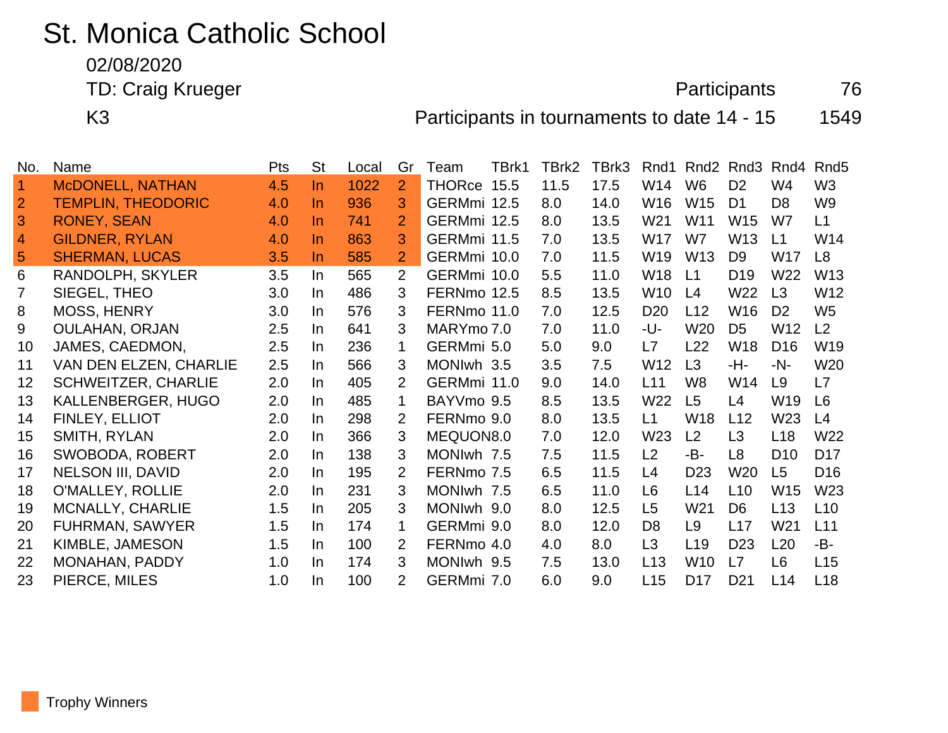# St. Monica Catholic School

02/08/2020

TD: Craig Krueger **Participants** 76

K3 **Participants in tournaments to date 14 - 15** 1549

| No.            | Name                       | Pts | <b>St</b> | Local | Gr             | Team          | TBrk1 | TBrk2 | TBrk3 | Rnd1            | Rnd <sub>2</sub> | Rnd <sub>3</sub> | Rnd4            | Rnd <sub>5</sub> |
|----------------|----------------------------|-----|-----------|-------|----------------|---------------|-------|-------|-------|-----------------|------------------|------------------|-----------------|------------------|
| <b>AV</b>      | <b>McDONELL, NATHAN</b>    | 4.5 | In.       | 1022  | $\overline{2}$ | <b>THORce</b> | 15.5  | 11.5  | 17.5  | W14             | W <sub>6</sub>   | D <sub>2</sub>   | W4              | W <sub>3</sub>   |
| $\overline{2}$ | <b>TEMPLIN, THEODORIC</b>  | 4.0 | In.       | 936   | 3.             | GERMmi 12.5   |       | 8.0   | 14.0  | W16             | W <sub>15</sub>  | D <sub>1</sub>   | D <sub>8</sub>  | W9               |
| 3              | <b>RONEY, SEAN</b>         | 4.0 | In.       | 741   | $\overline{2}$ | GERMmi 12.5   |       | 8.0   | 13.5  | W <sub>21</sub> | W11              | W15              | W7              | L1               |
| $\overline{4}$ | <b>GILDNER, RYLAN</b>      | 4.0 | In.       | 863   | 3.             | GERMmi 11.5   |       | 7.0   | 13.5  | <b>W17</b>      | W7               | W13              | L1              | W14              |
| $5\phantom{1}$ | <b>SHERMAN, LUCAS</b>      | 3.5 | In.       | 585   | 2 <sup>1</sup> | GERMmi 10.0   |       | 7.0   | 11.5  | W <sub>19</sub> | W <sub>13</sub>  | D <sub>9</sub>   | W17             | L <sub>8</sub>   |
| 6              | RANDOLPH, SKYLER           | 3.5 | In.       | 565   | $\overline{2}$ | GERMmi 10.0   |       | 5.5   | 11.0  | W18             | L1               | D <sub>19</sub>  | W22             | W <sub>13</sub>  |
| 7              | SIEGEL, THEO               | 3.0 | In.       | 486   | 3              | FERNmo 12.5   |       | 8.5   | 13.5  | W10             | L4               | W <sub>22</sub>  | L <sub>3</sub>  | W12              |
| 8              | <b>MOSS, HENRY</b>         | 3.0 | In.       | 576   | 3              | FERNmo 11.0   |       | 7.0   | 12.5  | D <sub>20</sub> | L12              | W16              | D <sub>2</sub>  | W <sub>5</sub>   |
| 9              | <b>OULAHAN, ORJAN</b>      | 2.5 | In.       | 641   | 3              | MARYmo 7.0    |       | 7.0   | 11.0  | -U-             | W <sub>20</sub>  | D <sub>5</sub>   | W12             | L2               |
| 10             | JAMES, CAEDMON,            | 2.5 | In.       | 236   | 1.             | GERMmi 5.0    |       | 5.0   | 9.0   | L7              | L22              | W18              | D <sub>16</sub> | W19              |
| 11             | VAN DEN ELZEN, CHARLIE     | 2.5 | In.       | 566   | 3              | MONIwh 3.5    |       | 3.5   | 7.5   | W12             | L3               | -H-              | $-N-$           | W <sub>20</sub>  |
| 12             | <b>SCHWEITZER, CHARLIE</b> | 2.0 | In.       | 405   | $\overline{2}$ | GERMmi 11.0   |       | 9.0   | 14.0  | L11             | W <sub>8</sub>   | W <sub>14</sub>  | L <sub>9</sub>  | L7               |
| 13             | KALLENBERGER, HUGO         | 2.0 | In.       | 485   | 1              | BAYVmo 9.5    |       | 8.5   | 13.5  | W22             | L <sub>5</sub>   | L4               | W19             | L <sub>6</sub>   |
| 14             | FINLEY, ELLIOT             | 2.0 | In.       | 298   | 2              | FERNmo 9.0    |       | 8.0   | 13.5  | L1              | W18              | L12              | W <sub>23</sub> | L4               |
| 15             | SMITH, RYLAN               | 2.0 | In.       | 366   | 3              | MEQUON8.0     |       | 7.0   | 12.0  | W <sub>23</sub> | L2               | L3               | L <sub>18</sub> | W22              |
| 16             | <b>SWOBODA, ROBERT</b>     | 2.0 | In.       | 138   | 3              | MONIwh 7.5    |       | 7.5   | 11.5  | L <sub>2</sub>  | -B-              | L8               | D <sub>10</sub> | D <sub>17</sub>  |
| 17             | <b>NELSON III, DAVID</b>   | 2.0 | In.       | 195   | $\mathbf{2}$   | FERNmo 7.5    |       | 6.5   | 11.5  | L4              | D <sub>23</sub>  | W <sub>20</sub>  | L <sub>5</sub>  | D <sub>16</sub>  |
| 18             | O'MALLEY, ROLLIE           | 2.0 | In        | 231   | 3              | MONIwh 7.5    |       | 6.5   | 11.0  | L <sub>6</sub>  | L14              | L10              | W15             | W <sub>23</sub>  |
| 19             | <b>MCNALLY, CHARLIE</b>    | 1.5 | In.       | 205   | 3              | MONIwh 9.0    |       | 8.0   | 12.5  | L <sub>5</sub>  | W21              | D <sub>6</sub>   | L13             | L10              |
| 20             | <b>FUHRMAN, SAWYER</b>     | 1.5 | In.       | 174   | 1              | GERMmi 9.0    |       | 8.0   | 12.0  | D <sub>8</sub>  | L <sub>9</sub>   | L17              | W21             | L11              |
| 21             | KIMBLE, JAMESON            | 1.5 | In.       | 100   | 2              | FERNmo 4.0    |       | 4.0   | 8.0   | L <sub>3</sub>  | L <sub>19</sub>  | D <sub>23</sub>  | L20             | -B-              |
| 22             | <b>MONAHAN, PADDY</b>      | 1.0 | In.       | 174   | 3              | MONIwh 9.5    |       | 7.5   | 13.0  | L13             | W <sub>10</sub>  | L7               | L6              | L15              |
| 23             | PIERCE, MILES              | 1.0 | In.       | 100   | $\overline{2}$ | GERMmi 7.0    |       | 6.0   | 9.0   | L15             | D <sub>17</sub>  | D <sub>21</sub>  | L14             | L18              |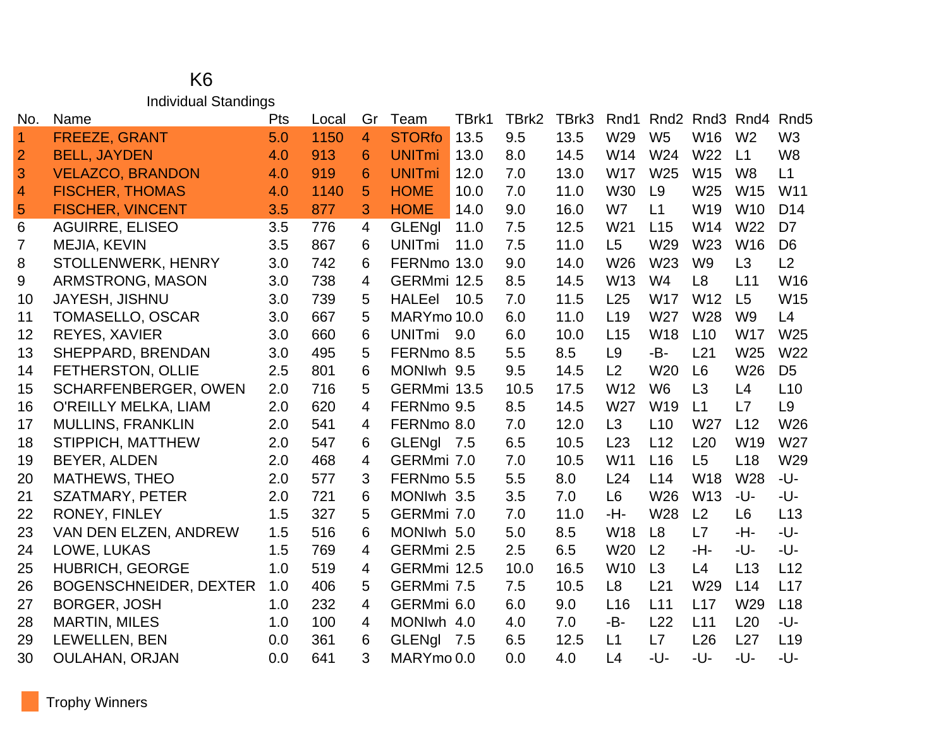#### K6 Individual Standings

| No.            | Name                          | Pts | Local | Gr             | Team          | TBrk1 | TBrk2 | TBrk3 | Rnd1            | Rnd <sub>2</sub> | Rnd3            | Rnd4            | Rnd <sub>5</sub> |
|----------------|-------------------------------|-----|-------|----------------|---------------|-------|-------|-------|-----------------|------------------|-----------------|-----------------|------------------|
| $\vert$ 1      | <b>FREEZE, GRANT</b>          | 5.0 | 1150  | $\overline{4}$ | <b>STORfo</b> | 13.5  | 9.5   | 13.5  | W <sub>29</sub> | W <sub>5</sub>   | W <sub>16</sub> | W <sub>2</sub>  | W <sub>3</sub>   |
| $\overline{2}$ | <b>BELL, JAYDEN</b>           | 4.0 | 913   | 6              | <b>UNITmi</b> | 13.0  | 8.0   | 14.5  | W14             | W24              | W22             | L1              | W <sub>8</sub>   |
| 3              | <b>VELAZCO, BRANDON</b>       | 4.0 | 919   | 6              | <b>UNITmi</b> | 12.0  | 7.0   | 13.0  | <b>W17</b>      | W25              | W15             | W <sub>8</sub>  | L1               |
| $\overline{4}$ | <b>FISCHER, THOMAS</b>        | 4.0 | 1140  | 5              | <b>HOME</b>   | 10.0  | 7.0   | 11.0  | <b>W30</b>      | L9               | W25             | W15             | W11              |
| 5              | <b>FISCHER, VINCENT</b>       | 3.5 | 877   | 3              | <b>HOME</b>   | 14.0  | 9.0   | 16.0  | W7              | L1               | W19             | W10             | D <sub>14</sub>  |
| 6              | <b>AGUIRRE, ELISEO</b>        | 3.5 | 776   | $\overline{4}$ | <b>GLENgl</b> | 11.0  | 7.5   | 12.5  | W <sub>21</sub> | L15              | W14             | W22             | D <sub>7</sub>   |
| 7              | MEJIA, KEVIN                  | 3.5 | 867   | 6              | <b>UNITmi</b> | 11.0  | 7.5   | 11.0  | L5              | W29              | W23             | W16             | D <sub>6</sub>   |
| 8              | STOLLENWERK, HENRY            | 3.0 | 742   | 6              | FERNmo 13.0   |       | 9.0   | 14.0  | W26             | W23              | W9              | L3              | L2               |
| 9              | ARMSTRONG, MASON              | 3.0 | 738   | 4              | GERMmi 12.5   |       | 8.5   | 14.5  | W13             | W <sub>4</sub>   | L <sub>8</sub>  | L11             | W16              |
| 10             | <b>JAYESH, JISHNU</b>         | 3.0 | 739   | 5              | <b>HALEel</b> | 10.5  | 7.0   | 11.5  | L25             | <b>W17</b>       | W <sub>12</sub> | L5              | W15              |
| 11             | <b>TOMASELLO, OSCAR</b>       | 3.0 | 667   | 5              | MARYmo 10.0   |       | 6.0   | 11.0  | L <sub>19</sub> | W27              | W28             | W <sub>9</sub>  | L4               |
| 12             | <b>REYES, XAVIER</b>          | 3.0 | 660   | 6              | <b>UNITmi</b> | 9.0   | 6.0   | 10.0  | L15             | W18              | L10             | <b>W17</b>      | W <sub>25</sub>  |
| 13             | SHEPPARD, BRENDAN             | 3.0 | 495   | 5              | FERNmo 8.5    |       | 5.5   | 8.5   | L <sub>9</sub>  | -B-              | L21             | W25             | W22              |
| 14             | FETHERSTON, OLLIE             | 2.5 | 801   | 6              | MONIwh 9.5    |       | 9.5   | 14.5  | L2              | W20              | L <sub>6</sub>  | W26             | D <sub>5</sub>   |
| 15             | <b>SCHARFENBERGER, OWEN</b>   | 2.0 | 716   | 5              | GERMmi 13.5   |       | 10.5  | 17.5  | W12             | W <sub>6</sub>   | L3              | L4              | L10              |
| 16             | O'REILLY MELKA, LIAM          | 2.0 | 620   | $\overline{4}$ | FERNmo 9.5    |       | 8.5   | 14.5  | W27             | W19              | L1              | L7              | L <sub>9</sub>   |
| 17             | <b>MULLINS, FRANKLIN</b>      | 2.0 | 541   | $\overline{4}$ | FERNmo 8.0    |       | 7.0   | 12.0  | L3              | L10              | W27             | L12             | W26              |
| 18             | STIPPICH, MATTHEW             | 2.0 | 547   | 6              | <b>GLENgl</b> | 7.5   | 6.5   | 10.5  | L23             | L12              | L20             | W19             | <b>W27</b>       |
| 19             | <b>BEYER, ALDEN</b>           | 2.0 | 468   | $\overline{4}$ | GERMmi 7.0    |       | 7.0   | 10.5  | W11             | L <sub>16</sub>  | L5              | L <sub>18</sub> | W29              |
| 20             | <b>MATHEWS, THEO</b>          | 2.0 | 577   | 3              | FERNmo 5.5    |       | 5.5   | 8.0   | L24             | L14              | <b>W18</b>      | W28             | -U-              |
| 21             | <b>SZATMARY, PETER</b>        | 2.0 | 721   | 6              | MONIwh 3.5    |       | 3.5   | 7.0   | L <sub>6</sub>  | W26              | W13             | -U-             | -U-              |
| 22             | RONEY, FINLEY                 | 1.5 | 327   | 5              | GERMmi 7.0    |       | 7.0   | 11.0  | -H-             | W28              | L2              | L <sub>6</sub>  | L13              |
| 23             | VAN DEN ELZEN, ANDREW         | 1.5 | 516   | 6              | MONIwh 5.0    |       | 5.0   | 8.5   | <b>W18</b>      | L <sub>8</sub>   | L7              | -H-             | -U-              |
| 24             | LOWE, LUKAS                   | 1.5 | 769   | $\overline{4}$ | GERMmi 2.5    |       | 2.5   | 6.5   | W20             | L <sub>2</sub>   | -H-             | -U-             | -U-              |
| 25             | <b>HUBRICH, GEORGE</b>        | 1.0 | 519   | 4              | GERMmi 12.5   |       | 10.0  | 16.5  | W <sub>10</sub> | L3               | L4              | L13             | L12              |
| 26             | <b>BOGENSCHNEIDER, DEXTER</b> | 1.0 | 406   | 5              | GERMmi 7.5    |       | 7.5   | 10.5  | L8              | L21              | W29             | L14             | L17              |
| 27             | <b>BORGER, JOSH</b>           | 1.0 | 232   | $\overline{4}$ | GERMmi 6.0    |       | 6.0   | 9.0   | L16             | L11              | L17             | W29             | L18              |
| 28             | <b>MARTIN, MILES</b>          | 1.0 | 100   | $\overline{4}$ | MONIwh 4.0    |       | 4.0   | 7.0   | -B-             | L22              | L11             | L20             | -U-              |
| 29             | LEWELLEN, BEN                 | 0.0 | 361   | 6              | <b>GLENgl</b> | 7.5   | 6.5   | 12.5  | L1              | L7               | L26             | L27             | L <sub>19</sub>  |
| 30             | <b>OULAHAN, ORJAN</b>         | 0.0 | 641   | 3              | MARYmo 0.0    |       | 0.0   | 4.0   | L4              | -U-              | -U-             | -U-             | -U-              |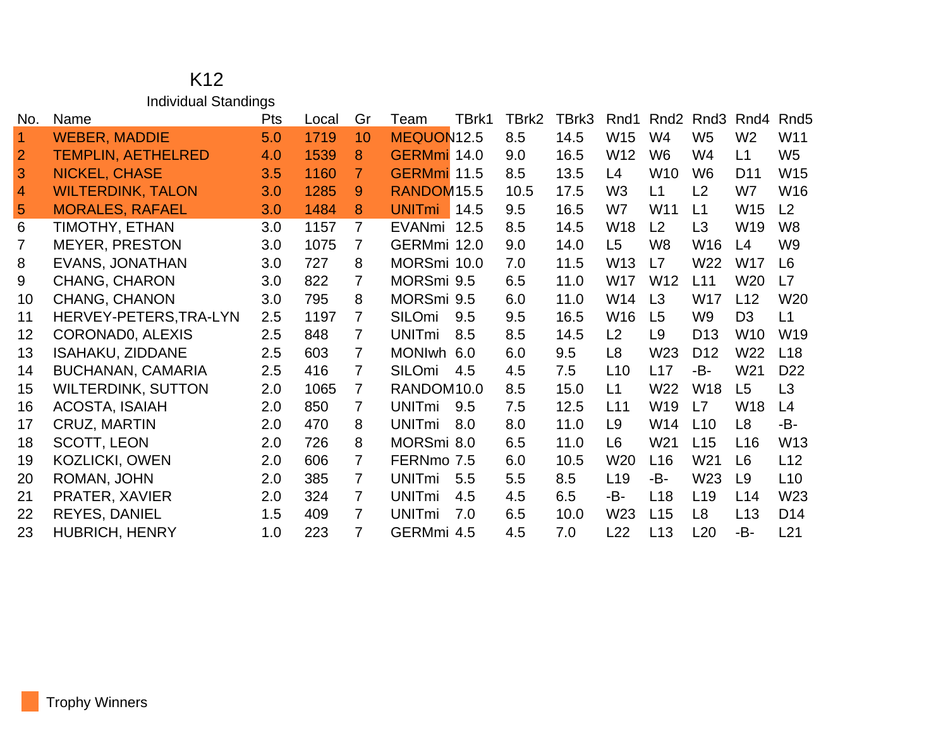#### K12 Individual Standings

| No.            | Name                      | Pts | Local | Gr             | Team                     | TBrk1 | TBrk2 | TBrk3 | Rnd1            | Rnd <sub>2</sub> | Rnd3            | Rnd4            | Rnd <sub>5</sub> |
|----------------|---------------------------|-----|-------|----------------|--------------------------|-------|-------|-------|-----------------|------------------|-----------------|-----------------|------------------|
| A              | <b>WEBER, MADDIE</b>      | 5.0 | 1719  | 10             | MEQUON12.5               |       | 8.5   | 14.5  | W15             | W4               | W <sub>5</sub>  | W <sub>2</sub>  | W11              |
| 2              | <b>TEMPLIN, AETHELRED</b> | 4.0 | 1539  | 8              | GERMmi 14.0              |       | 9.0   | 16.5  | W12             | W <sub>6</sub>   | W4              | L1              | W <sub>5</sub>   |
| 3              | <b>NICKEL, CHASE</b>      | 3.5 | 1160  | $\overline{7}$ | GERMmi 11.5              |       | 8.5   | 13.5  | L4              | W <sub>10</sub>  | W <sub>6</sub>  | D <sub>11</sub> | W15              |
| $\overline{4}$ | <b>WILTERDINK, TALON</b>  | 3.0 | 1285  | 9              | RANDOM <sub>15.5</sub>   |       | 10.5  | 17.5  | W <sub>3</sub>  | L1               | L2              | W7              | W16              |
| 5              | <b>MORALES, RAFAEL</b>    | 3.0 | 1484  | 8              | <b>UNIT<sub>mi</sub></b> | 14.5  | 9.5   | 16.5  | W7              | W11              | L1              | W15             | L <sub>2</sub>   |
| 6              | TIMOTHY, ETHAN            | 3.0 | 1157  | $\overline{7}$ | <b>EVANmi</b>            | 12.5  | 8.5   | 14.5  | W18             | L2               | L <sub>3</sub>  | W19             | W8               |
| $\overline{7}$ | <b>MEYER, PRESTON</b>     | 3.0 | 1075  | 7              | GERMmi 12.0              |       | 9.0   | 14.0  | L <sub>5</sub>  | W8               | W16             | L4              | W9               |
| 8              | <b>EVANS, JONATHAN</b>    | 3.0 | 727   | 8              | MORSmi 10.0              |       | 7.0   | 11.5  | W13             | L7               | W22             | <b>W17</b>      | L <sub>6</sub>   |
| 9              | <b>CHANG, CHARON</b>      | 3.0 | 822   | $\overline{7}$ | MORSmi 9.5               |       | 6.5   | 11.0  | W17             | W12              | L11             | W20             | L7               |
| 10             | <b>CHANG, CHANON</b>      | 3.0 | 795   | 8              | MORSmi 9.5               |       | 6.0   | 11.0  | W14             | L3               | W17             | L12             | W20              |
| 11             | HERVEY-PETERS, TRA-LYN    | 2.5 | 1197  | 7              | SILOmi                   | 9.5   | 9.5   | 16.5  | W16             | L <sub>5</sub>   | W9              | D <sub>3</sub>  | L1               |
| 12             | CORONADO, ALEXIS          | 2.5 | 848   | $\overline{7}$ | <b>UNITmi</b>            | 8.5   | 8.5   | 14.5  | L2              | L <sub>9</sub>   | D <sub>13</sub> | W <sub>10</sub> | W19              |
| 13             | <b>ISAHAKU, ZIDDANE</b>   | 2.5 | 603   | $\overline{7}$ | MONIwh 6.0               |       | 6.0   | 9.5   | L <sub>8</sub>  | W23              | D <sub>12</sub> | W22             | L18              |
| 14             | <b>BUCHANAN, CAMARIA</b>  | 2.5 | 416   | $\overline{7}$ | SILOmi                   | 4.5   | 4.5   | 7.5   | L10             | L17              | -B-             | W21             | D <sub>22</sub>  |
| 15             | <b>WILTERDINK, SUTTON</b> | 2.0 | 1065  | $\overline{7}$ | RANDOM10.0               |       | 8.5   | 15.0  | L1              | W22              | <b>W18</b>      | L5              | L <sub>3</sub>   |
| 16             | <b>ACOSTA, ISAIAH</b>     | 2.0 | 850   | 7              | <b>UNITmi</b>            | 9.5   | 7.5   | 12.5  | L11             | W19              | L7              | W18             | L4               |
| 17             | CRUZ, MARTIN              | 2.0 | 470   | 8              | <b>UNITmi</b>            | 8.0   | 8.0   | 11.0  | L <sub>9</sub>  | W14              | L10             | L <sub>8</sub>  | -B-              |
| 18             | SCOTT, LEON               | 2.0 | 726   | 8              | MORSmi 8.0               |       | 6.5   | 11.0  | L <sub>6</sub>  | W21              | L15             | L <sub>16</sub> | W13              |
| 19             | <b>KOZLICKI, OWEN</b>     | 2.0 | 606   | $\overline{7}$ | FERNmo 7.5               |       | 6.0   | 10.5  | W20             | L16              | W21             | L <sub>6</sub>  | L12              |
| 20             | ROMAN, JOHN               | 2.0 | 385   | $\overline{7}$ | <b>UNITmi</b>            | 5.5   | 5.5   | 8.5   | L <sub>19</sub> | -B-              | W <sub>23</sub> | L9              | L10              |
| 21             | PRATER, XAVIER            | 2.0 | 324   | $\overline{7}$ | <b>UNITmi</b>            | 4.5   | 4.5   | 6.5   | -B-             | L <sub>18</sub>  | L <sub>19</sub> | L14             | W23              |
| 22             | <b>REYES, DANIEL</b>      | 1.5 | 409   | $\overline{7}$ | <b>UNITmi</b>            | 7.0   | 6.5   | 10.0  | W23             | L15              | L <sub>8</sub>  | L13             | D <sub>14</sub>  |
| 23             | <b>HUBRICH, HENRY</b>     | 1.0 | 223   | $\overline{7}$ | GERMmi 4.5               |       | 4.5   | 7.0   | L22             | L <sub>13</sub>  | L20             | -B-             | L21              |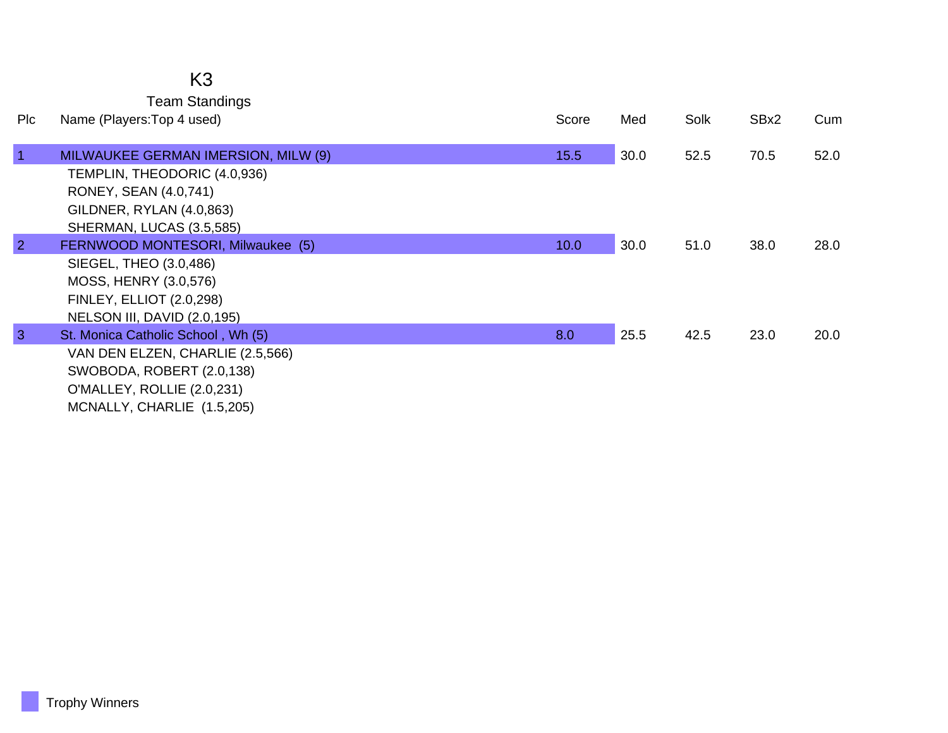### K3

Team Standings

| <b>PIc</b>     | Name (Players: Top 4 used)          | Score | Med  | Solk | SBx2 | Cum  |
|----------------|-------------------------------------|-------|------|------|------|------|
|                |                                     |       |      |      |      |      |
| $\overline{1}$ | MILWAUKEE GERMAN IMERSION, MILW (9) | 15.5  | 30.0 | 52.5 | 70.5 | 52.0 |
|                | TEMPLIN, THEODORIC (4.0,936)        |       |      |      |      |      |
|                | RONEY, SEAN (4.0,741)               |       |      |      |      |      |
|                | GILDNER, RYLAN (4.0,863)            |       |      |      |      |      |
|                | SHERMAN, LUCAS (3.5,585)            |       |      |      |      |      |
| $\overline{2}$ | FERNWOOD MONTESORI, Milwaukee (5)   | 10.0  | 30.0 | 51.0 | 38.0 | 28.0 |
|                | SIEGEL, THEO (3.0,486)              |       |      |      |      |      |
|                | MOSS, HENRY (3.0,576)               |       |      |      |      |      |
|                | <b>FINLEY, ELLIOT (2.0,298)</b>     |       |      |      |      |      |
|                | NELSON III, DAVID (2.0,195)         |       |      |      |      |      |
| 3              | St. Monica Catholic School, Wh (5)  | 8.0   | 25.5 | 42.5 | 23.0 | 20.0 |
|                | VAN DEN ELZEN, CHARLIE (2.5,566)    |       |      |      |      |      |
|                | SWOBODA, ROBERT (2.0,138)           |       |      |      |      |      |
|                | O'MALLEY, ROLLIE (2.0,231)          |       |      |      |      |      |
|                | MCNALLY, CHARLIE (1.5,205)          |       |      |      |      |      |
|                |                                     |       |      |      |      |      |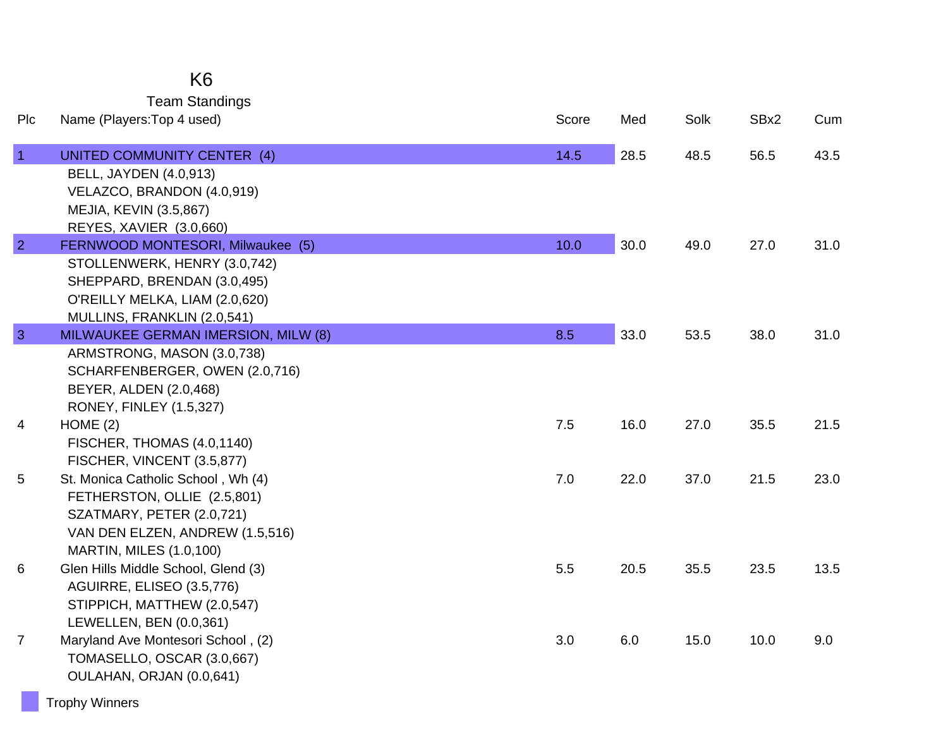## K6

Team Standings

| Plc            | Name (Players: Top 4 used)                                                                                                                                                                   | Score | Med  | Solk | SBx2 | Cum  |
|----------------|----------------------------------------------------------------------------------------------------------------------------------------------------------------------------------------------|-------|------|------|------|------|
| $\overline{1}$ | <b>UNITED COMMUNITY CENTER (4)</b><br><b>BELL, JAYDEN (4.0,913)</b><br>VELAZCO, BRANDON (4.0,919)<br>MEJIA, KEVIN (3.5,867)                                                                  | 14.5  | 28.5 | 48.5 | 56.5 | 43.5 |
| $\overline{2}$ | REYES, XAVIER (3.0,660)<br>FERNWOOD MONTESORI, Milwaukee (5)<br>STOLLENWERK, HENRY (3.0,742)<br>SHEPPARD, BRENDAN (3.0,495)<br>O'REILLY MELKA, LIAM (2.0,620)<br>MULLINS, FRANKLIN (2.0,541) | 10.0  | 30.0 | 49.0 | 27.0 | 31.0 |
| $\overline{3}$ | MILWAUKEE GERMAN IMERSION, MILW (8)<br>ARMSTRONG, MASON (3.0,738)<br>SCHARFENBERGER, OWEN (2.0,716)<br>BEYER, ALDEN (2.0,468)<br>RONEY, FINLEY (1.5,327)                                     | 8.5   | 33.0 | 53.5 | 38.0 | 31.0 |
| 4              | HOME(2)<br>FISCHER, THOMAS (4.0,1140)<br>FISCHER, VINCENT (3.5,877)                                                                                                                          | 7.5   | 16.0 | 27.0 | 35.5 | 21.5 |
| 5              | St. Monica Catholic School, Wh (4)<br>FETHERSTON, OLLIE (2.5,801)<br>SZATMARY, PETER (2.0,721)<br>VAN DEN ELZEN, ANDREW (1.5,516)<br><b>MARTIN, MILES (1.0,100)</b>                          | 7.0   | 22.0 | 37.0 | 21.5 | 23.0 |
| 6              | Glen Hills Middle School, Glend (3)<br>AGUIRRE, ELISEO (3.5,776)<br>STIPPICH, MATTHEW (2.0,547)<br>LEWELLEN, BEN (0.0,361)                                                                   | 5.5   | 20.5 | 35.5 | 23.5 | 13.5 |
| $\overline{7}$ | Maryland Ave Montesori School, (2)<br>TOMASELLO, OSCAR (3.0,667)<br>OULAHAN, ORJAN (0.0,641)                                                                                                 | 3.0   | 6.0  | 15.0 | 10.0 | 9.0  |